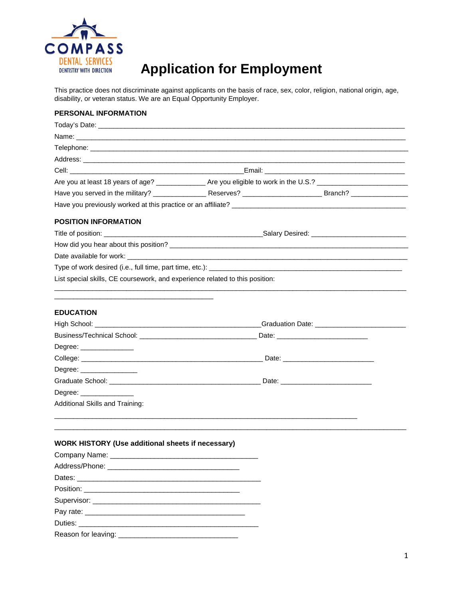

# **Application for Employment**

This practice does not discriminate against applicants on the basis of race, sex, color, religion, national origin, age, disability, or veteran status. We are an Equal Opportunity Employer.

## **PERSONAL INFORMATION**

| Today's Date:                                                                |  |  |
|------------------------------------------------------------------------------|--|--|
|                                                                              |  |  |
|                                                                              |  |  |
|                                                                              |  |  |
|                                                                              |  |  |
|                                                                              |  |  |
|                                                                              |  |  |
|                                                                              |  |  |
| <b>POSITION INFORMATION</b>                                                  |  |  |
|                                                                              |  |  |
|                                                                              |  |  |
|                                                                              |  |  |
|                                                                              |  |  |
| List special skills, CE coursework, and experience related to this position: |  |  |
|                                                                              |  |  |
| <b>EDUCATION</b>                                                             |  |  |
|                                                                              |  |  |
|                                                                              |  |  |
| Degree: _______________                                                      |  |  |
|                                                                              |  |  |
| Degree:                                                                      |  |  |
|                                                                              |  |  |
| Degree:                                                                      |  |  |
| Additional Skills and Training:                                              |  |  |
|                                                                              |  |  |
|                                                                              |  |  |
|                                                                              |  |  |

## **WORK HISTORY (Use additional sheets if necessary)**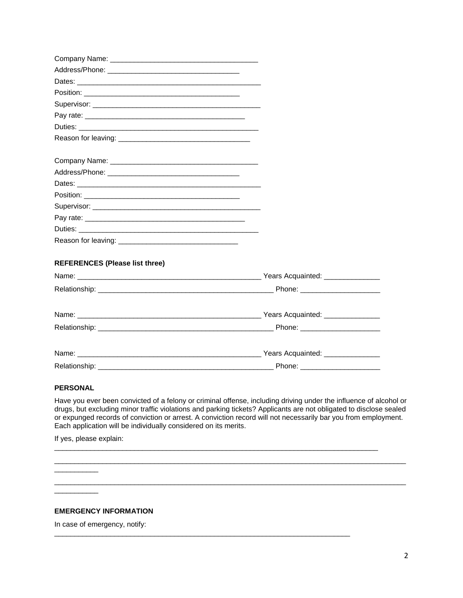| Duties: the contract of the contract of the contract of the contract of the contract of the contract of the contract of the contract of the contract of the contract of the contract of the contract of the contract of the co |  |
|--------------------------------------------------------------------------------------------------------------------------------------------------------------------------------------------------------------------------------|--|
|                                                                                                                                                                                                                                |  |
|                                                                                                                                                                                                                                |  |
|                                                                                                                                                                                                                                |  |
|                                                                                                                                                                                                                                |  |
|                                                                                                                                                                                                                                |  |
|                                                                                                                                                                                                                                |  |
|                                                                                                                                                                                                                                |  |
|                                                                                                                                                                                                                                |  |
|                                                                                                                                                                                                                                |  |
| <b>REFERENCES (Please list three)</b>                                                                                                                                                                                          |  |
|                                                                                                                                                                                                                                |  |
|                                                                                                                                                                                                                                |  |
|                                                                                                                                                                                                                                |  |
|                                                                                                                                                                                                                                |  |
|                                                                                                                                                                                                                                |  |
|                                                                                                                                                                                                                                |  |

### **PERSONAL**

Have you ever been convicted of a felony or criminal offense, including driving under the influence of alcohol or drugs, but excluding minor traffic violations and parking tickets? Applicants are not obligated to disclose sealed or expunged records of conviction or arrest. A conviction record will not necessarily bar you from employment. Each application will be individually considered on its merits.

\_\_\_\_\_\_\_\_\_\_\_\_\_\_\_\_\_\_\_\_\_\_\_\_\_\_\_\_\_\_\_\_\_\_\_\_\_\_\_\_\_\_\_\_\_\_\_\_\_\_\_\_\_\_\_\_\_\_\_\_\_\_\_\_\_\_\_\_\_\_\_\_\_\_\_\_\_\_\_\_\_\_\_\_\_\_\_\_

\_\_\_\_\_\_\_\_\_\_\_\_\_\_\_\_\_\_\_\_\_\_\_\_\_\_\_\_\_\_\_\_\_\_\_\_\_\_\_\_\_\_\_\_\_\_\_\_\_\_\_\_\_\_\_\_\_\_\_\_\_\_\_\_\_\_\_\_\_\_\_\_\_\_\_\_\_\_\_\_\_\_\_\_\_\_\_\_

\_\_\_\_\_\_\_\_\_\_\_\_\_\_\_\_\_\_\_\_\_\_\_\_\_\_\_\_\_\_\_\_\_\_\_\_\_\_\_\_\_\_\_\_\_\_\_\_\_\_\_\_\_\_\_\_\_\_\_\_\_\_\_\_\_\_\_\_\_\_\_\_\_\_\_\_\_\_\_\_\_

\_\_\_\_\_\_\_\_\_\_\_\_\_\_\_\_\_\_\_\_\_\_\_\_\_\_\_\_\_\_\_\_\_\_\_\_\_\_\_\_\_\_\_\_\_\_\_\_\_\_\_\_\_\_\_\_\_\_\_\_\_\_\_\_\_\_\_\_\_\_\_\_\_\_

If yes, please explain:

\_\_\_\_\_\_\_\_\_\_\_

## **EMERGENCY INFORMATION**

In case of emergency, notify: